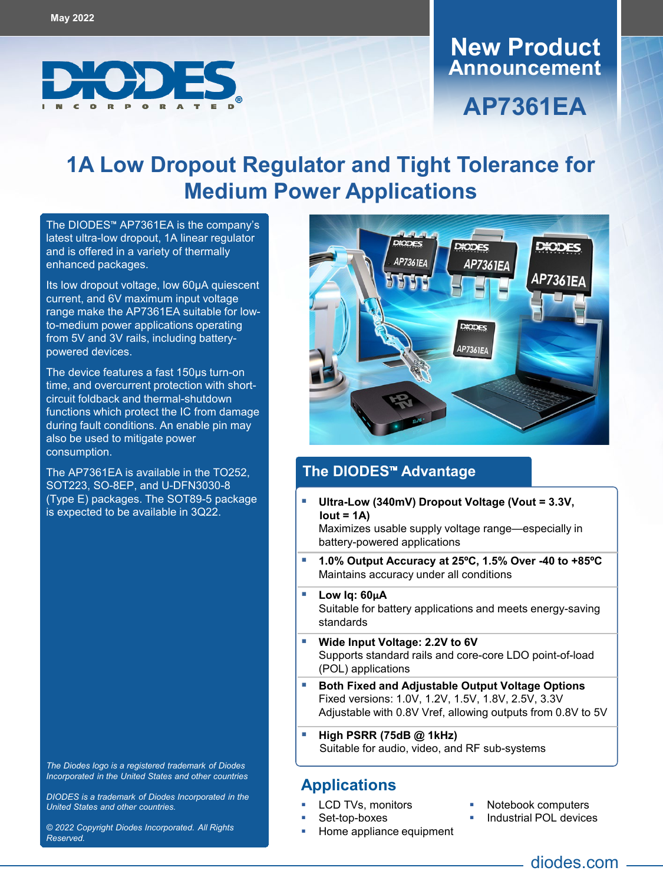

## **1A Low Dropout Regulator and Tight Tolerance for Medium Power Applications**

The DIODES™ [AP7361EA is](https://www.diodes.com/part/AP7361EA/) the company's latest ultra-low dropout, 1A linear regulator and is offered in a variety of thermally enhanced packages.

Its low dropout voltage, low 60µA quiescent current, and 6V maximum input voltage range make the AP7361EA suitable for lowto-medium power applications operating from 5V and 3V rails, including batterypowered devices.

The device features a fast 150µs turn-on time, and overcurrent protection with shortcircuit foldback and thermal-shutdown functions which protect the IC from damage during fault conditions. An enable pin may also be used to mitigate power consumption.

The AP7361EA is available in the TO252, SOT223, SO-8EP, and U-DFN3030-8 (Type E) packages. The SOT89-5 package is expected to be available in 3Q22.

*The Diodes logo is a registered trademark of Diodes Incorporated in the United States and other countries*

*DIODES is a trademark of Diodes Incorporated in the United States and other countries.*

*© 2022 Copyright Diodes Incorporated. All Rights Reserved.*



#### **The DIODES**™ **Advantage**

- **Ultra-Low (340mV) Dropout Voltage (Vout = 3.3V, Iout = 1A)** Maximizes usable supply voltage range—especially in battery-powered applications
- **1.0% Output Accuracy at 25ºC, 1.5% Over -40 to +85ºC** Maintains accuracy under all conditions
	- **Low Iq: 60μA** Suitable for battery applications and meets energy-saving standards
- Wide Input Voltage: 2.2V to 6V Supports standard rails and core-core LDO point-of-load (POL) applications
- **Both Fixed and Adjustable Output Voltage Options** Fixed versions: 1.0V, 1.2V, 1.5V, 1.8V, 2.5V, 3.3V Adjustable with 0.8V Vref, allowing outputs from 0.8V to 5V
- **High PSRR (75dB @ 1kHz)** Suitable for audio, video, and RF sub-systems

#### **Applications**

- LCD TVs, monitors
- Set-top-boxes
- Home appliance equipment
- Notebook computers
- Industrial POL devices
- 
- diodes.com